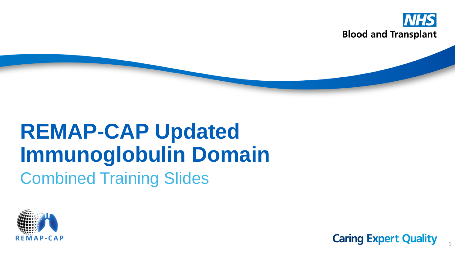

# **REMAP-CAP Updated Immunoglobulin Domain** Combined Training Slides



**Caring Expert Quality** 

1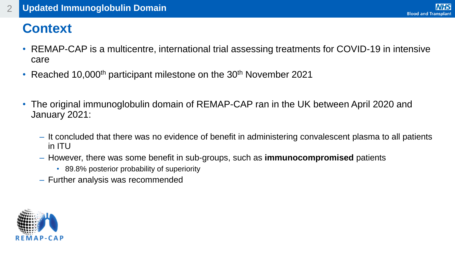#### **Context**

- REMAP-CAP is a multicentre, international trial assessing treatments for COVID-19 in intensive care
- Reached 10,000<sup>th</sup> participant milestone on the 30<sup>th</sup> November 2021
- The original immunoglobulin domain of REMAP-CAP ran in the UK between April 2020 and January 2021:
	- ‒ It concluded that there was no evidence of benefit in administering convalescent plasma to all patients in ITU
	- ‒ However, there was some benefit in sub-groups, such as **immunocompromised** patients
		- 89.8% posterior probability of superiority
	- ‒ Further analysis was recommended

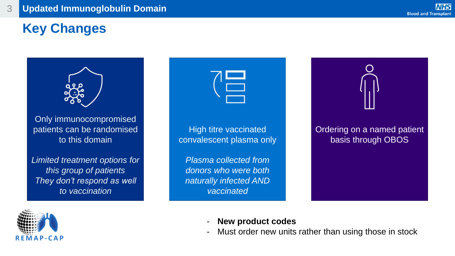#### **Key Changes**



Only immunocompromised patients can be randomised to this domain

*Limited treatment options for this group of patients They don't respond as well to vaccination*





- **New product codes**
- Must order new units rather than using those in stock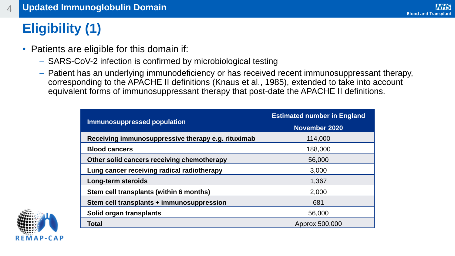### **Eligibility (1)**

- Patients are eligible for this domain if:
	- ‒ SARS-CoV-2 infection is confirmed by microbiological testing
	- ‒ Patient has an underlying immunodeficiency or has received recent immunosuppressant therapy, corresponding to the APACHE II definitions (Knaus et al., 1985), extended to take into account equivalent forms of immunosuppressant therapy that post-date the APACHE II definitions.

| <b>Immunosuppressed population</b>                 | <b>Estimated number in England</b><br><b>November 2020</b> |  |  |  |  |
|----------------------------------------------------|------------------------------------------------------------|--|--|--|--|
| Receiving immunosuppressive therapy e.g. rituximab | 114,000                                                    |  |  |  |  |
| <b>Blood cancers</b>                               | 188,000                                                    |  |  |  |  |
| Other solid cancers receiving chemotherapy         | 56,000                                                     |  |  |  |  |
| Lung cancer receiving radical radiotherapy         | 3,000                                                      |  |  |  |  |
| Long-term steroids                                 | 1,367                                                      |  |  |  |  |
| Stem cell transplants (within 6 months)            | 2,000                                                      |  |  |  |  |
| Stem cell transplants + immunosuppression          | 681                                                        |  |  |  |  |
| Solid organ transplants                            | 56,000                                                     |  |  |  |  |
| <b>Total</b>                                       | Approx 500,000                                             |  |  |  |  |

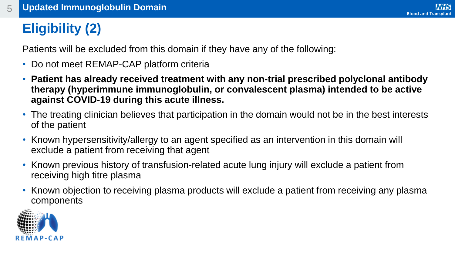#### **Eligibility (2)**

Patients will be excluded from this domain if they have any of the following:

- Do not meet REMAP-CAP platform criteria
- **Patient has already received treatment with any non-trial prescribed polyclonal antibody therapy (hyperimmune immunoglobulin, or convalescent plasma) intended to be active against COVID-19 during this acute illness.**
- The treating clinician believes that participation in the domain would not be in the best interests of the patient
- Known hypersensitivity/allergy to an agent specified as an intervention in this domain will exclude a patient from receiving that agent
- Known previous history of transfusion-related acute lung injury will exclude a patient from receiving high titre plasma
- Known objection to receiving plasma products will exclude a patient from receiving any plasma components

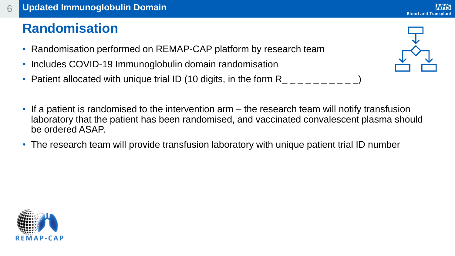#### **Randomisation**

- Randomisation performed on REMAP-CAP platform by research team
- Includes COVID-19 Immunoglobulin domain randomisation
- Patient allocated with unique trial ID (10 digits, in the form R<sub>\_\_\_\_\_\_\_\_\_</sub>
- If a patient is randomised to the intervention arm the research team will notify transfusion laboratory that the patient has been randomised, and vaccinated convalescent plasma should be ordered ASAP.
- The research team will provide transfusion laboratory with unique patient trial ID number



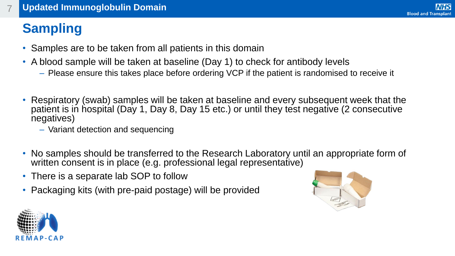#### **Sampling**

- Samples are to be taken from all patients in this domain
- A blood sample will be taken at baseline (Day 1) to check for antibody levels
	- ‒ Please ensure this takes place before ordering VCP if the patient is randomised to receive it
- Respiratory (swab) samples will be taken at baseline and every subsequent week that the patient is in hospital (Day 1, Day 8, Day 15 etc.) or until they test negative (2 consecutive negatives)
	- ‒ Variant detection and sequencing
- No samples should be transferred to the Research Laboratory until an appropriate form of written consent is in place (e.g. professional legal representative)
- There is a separate lab SOP to follow
- Packaging kits (with pre-paid postage) will be provided



**NHS** 

**Blood and Transplant** 

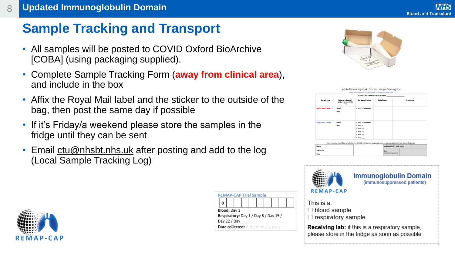#### **Sample Tracking and Transport**

- All samples will be posted to COVID Oxford BioArchive [COBA] (using packaging supplied).
- Complete Sample Tracking Form (**away from clinical area**), and include in the box
- Affix the Royal Mail label and the sticker to the outside of the bag, then post the same day if possible
- If it's Friday/a weekend please store the samples in the fridge until they can be sent
- Email [ctu@nhsbt.nhs.uk](mailto:ctu@nhsbt.nhs.uk) after posting and add to the log (Local Sample Tracking Log)



| <b>REMAP-CAP Trial Sample</b>         |  |  |  |                                                        |  |  |  |  |  |
|---------------------------------------|--|--|--|--------------------------------------------------------|--|--|--|--|--|
|                                       |  |  |  |                                                        |  |  |  |  |  |
| Blood: Day 1                          |  |  |  |                                                        |  |  |  |  |  |
| Respiratory: Day 1 / Day 8 / Day 15 / |  |  |  |                                                        |  |  |  |  |  |
| Day 22 / Day                          |  |  |  |                                                        |  |  |  |  |  |
|                                       |  |  |  | <b>Date collected:</b> $d$ $d$ / $m$ $m$ / $v$ $v$ $v$ |  |  |  |  |  |



| Date Posted<br>Sample collected?<br>Day sample taken<br>Sample type<br>(enter a cross in the<br>box)<br>Blood serum tube x 1<br><b>DYES</b><br>□ Day 1 (baseline)<br>$\Box$ No<br>Respiratory swab x 1<br><b>TIYES</b><br>□ Day 1 (baseline)<br>$\Box$ No.<br>$\Box$ Day 8 | Comments |
|----------------------------------------------------------------------------------------------------------------------------------------------------------------------------------------------------------------------------------------------------------------------------|----------|
|                                                                                                                                                                                                                                                                            |          |
|                                                                                                                                                                                                                                                                            |          |
| $\Box$ Day 15<br>$\Box$ Day 22<br>$\Box$ Day 29<br>$\square$ Day $\_\_$                                                                                                                                                                                                    |          |
| Each sample should be labelled with: REMAP-CAP randomisation number, date sample collected, type of sample.<br><b>LABORATORY USE ONLY</b><br>Name                                                                                                                          |          |



**Immunoglobulin Domain** (immunosuppressed patients)

This is a:  $\Box$  blood sample  $\Box$  respiratory sample

**Receiving lab:** if this is a respiratory sample, please store in the fridge as soon as possible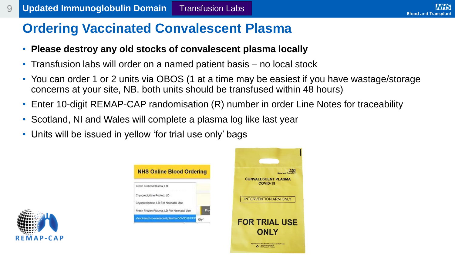#### **Ordering Vaccinated Convalescent Plasma**

- **Please destroy any old stocks of convalescent plasma locally**
- Transfusion labs will order on a named patient basis no local stock
- You can order 1 or 2 units via OBOS (1 at a time may be easiest if you have wastage/storage concerns at your site, NB. both units should be transfused within 48 hours)

**NHS** 

- Enter 10-digit REMAP-CAP randomisation (R) number in order Line Notes for traceability
- Scotland, NI and Wales will complete a plasma log like last year
- Units will be issued in yellow 'for trial use only' bags



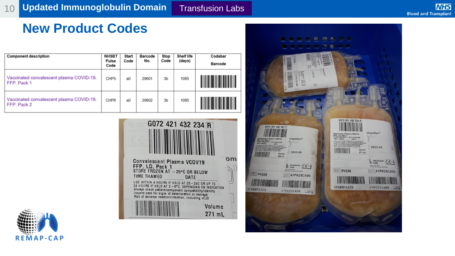#### **New Product Codes**

| <b>Component description</b>                            | <b>NHSBT</b><br>Pulse<br>Code | Start<br>Code | Barcode<br>No. | Stop<br>Code   | <b>Shelf life</b><br>(days) | Codabar<br><b>Barcode</b> |
|---------------------------------------------------------|-------------------------------|---------------|----------------|----------------|-----------------------------|---------------------------|
| Vaccinated convalescent plasma COVID-19.<br>FFP. Pack 1 | CHP <sub>5</sub>              | a0            | 29601          | 3 <sub>b</sub> | 1095                        |                           |
| Vaccinated convalescent plasma COVID-19.<br>FFP. Pack 2 | CHP6                          | a0            | 29602          | 3 <sub>b</sub> | 1095                        |                           |





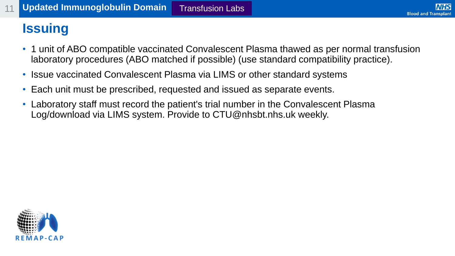#### **Issuing**

- 1 unit of ABO compatible vaccinated Convalescent Plasma thawed as per normal transfusion laboratory procedures (ABO matched if possible) (use standard compatibility practice).
- Issue vaccinated Convalescent Plasma via LIMS or other standard systems
- Each unit must be prescribed, requested and issued as separate events.
- Laboratory staff must record the patient's trial number in the Convalescent Plasma Log/download via LIMS system. Provide to CTU@nhsbt.nhs.uk weekly.

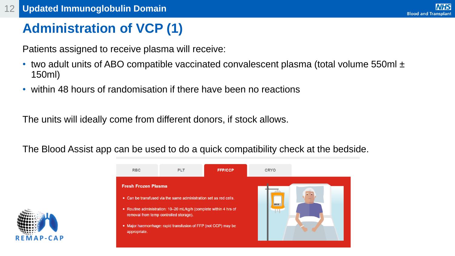#### **NHS Blood and Transplant**

#### **Administration of VCP (1)**

Patients assigned to receive plasma will receive:

- two adult units of ABO compatible vaccinated convalescent plasma (total volume 550ml ± 150ml)
- within 48 hours of randomisation if there have been no reactions

The units will ideally come from different donors, if stock allows.

The Blood Assist app can be used to do a quick compatibility check at the bedside.



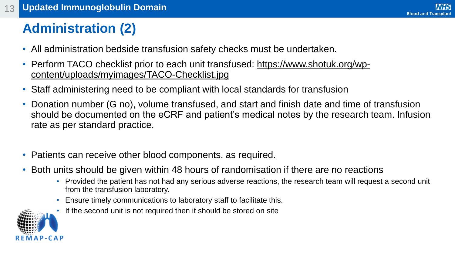#### **Administration (2)**

- All administration bedside transfusion safety checks must be undertaken.
- [Perform TACO checklist prior to each unit transfused: https://www.shotuk.org/wp](https://www.shotuk.org/wp-content/uploads/myimages/TACO-Checklist.jpg)content/uploads/myimages/TACO-Checklist.jpg
- Staff administering need to be compliant with local standards for transfusion
- Donation number (G no), volume transfused, and start and finish date and time of transfusion should be documented on the eCRF and patient's medical notes by the research team. Infusion rate as per standard practice.
- Patients can receive other blood components, as required.
- Both units should be given within 48 hours of randomisation if there are no reactions
	- Provided the patient has not had any serious adverse reactions, the research team will request a second unit from the transfusion laboratory.
	- Ensure timely communications to laboratory staff to facilitate this.
	- If the second unit is not required then it should be stored on site

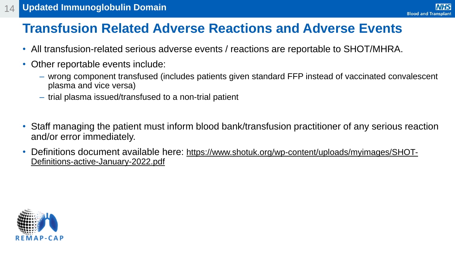#### **Transfusion Related Adverse Reactions and Adverse Events**

- All transfusion-related serious adverse events / reactions are reportable to SHOT/MHRA.
- Other reportable events include:
	- ‒ wrong component transfused (includes patients given standard FFP instead of vaccinated convalescent plasma and vice versa)

**NHS** 

**Blood and Transplant** 

- ‒ trial plasma issued/transfused to a non-trial patient
- Staff managing the patient must inform blood bank/transfusion practitioner of any serious reaction and/or error immediately.
- Definitions document available here: [https://www.shotuk.org/wp-content/uploads/myimages/SHOT-](https://www.shotuk.org/wp-content/uploads/myimages/SHOT-Definitions-active-January-2022.pdf)Definitions-active-January-2022.pdf

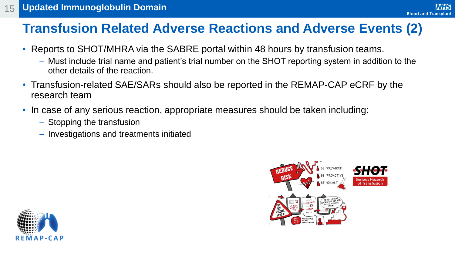#### **Transfusion Related Adverse Reactions and Adverse Events (2)**

- Reports to SHOT/MHRA via the SABRE portal within 48 hours by transfusion teams.
	- ‒ Must include trial name and patient's trial number on the SHOT reporting system in addition to the other details of the reaction.
- Transfusion-related SAE/SARs should also be reported in the REMAP-CAP eCRF by the research team
- In case of any serious reaction, appropriate measures should be taken including:
	- ‒ Stopping the transfusion
	- ‒ Investigations and treatments initiated



**NHS** 

**Blood and Transplant** 

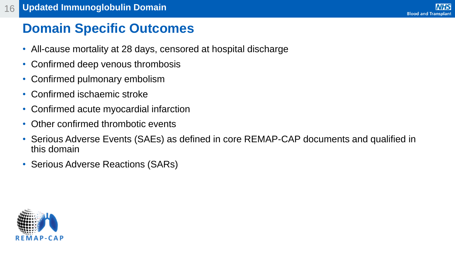#### **Domain Specific Outcomes**

- All-cause mortality at 28 days, censored at hospital discharge
- Confirmed deep venous thrombosis
- Confirmed pulmonary embolism
- Confirmed ischaemic stroke
- Confirmed acute myocardial infarction
- Other confirmed thrombotic events
- Serious Adverse Events (SAEs) as defined in core REMAP-CAP documents and qualified in this domain
- Serious Adverse Reactions (SARs)

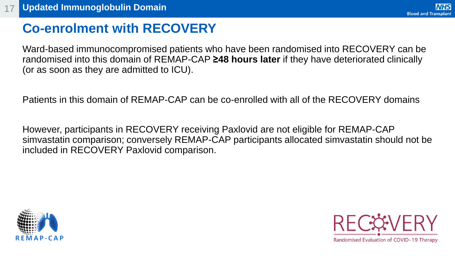#### **Co-enrolment with RECOVERY**

Ward-based immunocompromised patients who have been randomised into RECOVERY can be randomised into this domain of REMAP-CAP **≥48 hours later** if they have deteriorated clinically (or as soon as they are admitted to ICU).

Patients in this domain of REMAP-CAP can be co-enrolled with all of the RECOVERY domains

However, participants in RECOVERY receiving Paxlovid are not eligible for REMAP-CAP simvastatin comparison; conversely REMAP-CAP participants allocated simvastatin should not be included in RECOVERY Paxlovid comparison.